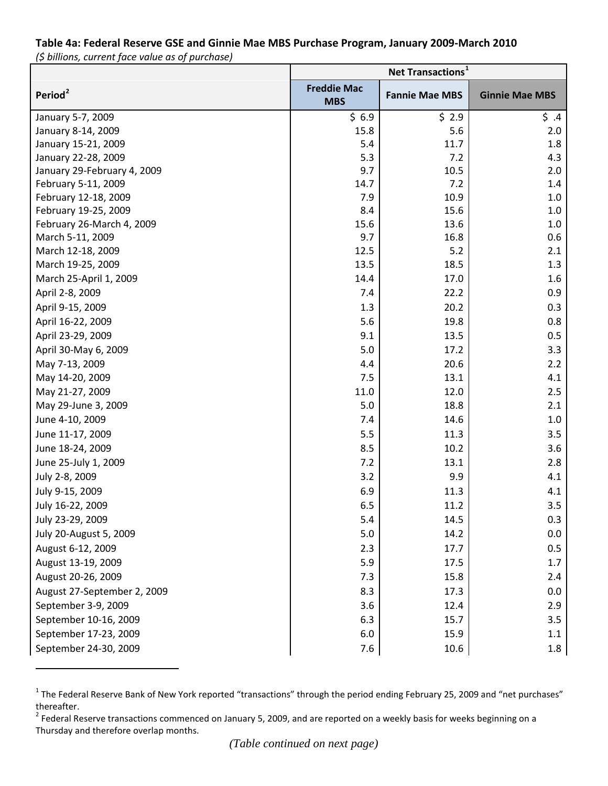## **Table 4a: Federal Reserve GSE and Ginnie Mae MBS Purchase Program, January 2009-March 2010** *(\$ billions, current face value as of purchase)*

|                             | Net Transactions <sup>1</sup>    |                       |                       |
|-----------------------------|----------------------------------|-----------------------|-----------------------|
| Period <sup>2</sup>         | <b>Freddie Mac</b><br><b>MBS</b> | <b>Fannie Mae MBS</b> | <b>Ginnie Mae MBS</b> |
| January 5-7, 2009           | \$6.9                            | \$2.9                 | \$.4                  |
| January 8-14, 2009          | 15.8                             | 5.6                   | 2.0                   |
| January 15-21, 2009         | 5.4                              | 11.7                  | 1.8                   |
| January 22-28, 2009         | 5.3                              | 7.2                   | 4.3                   |
| January 29-February 4, 2009 | 9.7                              | 10.5                  | 2.0                   |
| February 5-11, 2009         | 14.7                             | 7.2                   | 1.4                   |
| February 12-18, 2009        | 7.9                              | 10.9                  | 1.0                   |
| February 19-25, 2009        | 8.4                              | 15.6                  | 1.0                   |
| February 26-March 4, 2009   | 15.6                             | 13.6                  | 1.0                   |
| March 5-11, 2009            | 9.7                              | 16.8                  | 0.6                   |
| March 12-18, 2009           | 12.5                             | 5.2                   | 2.1                   |
| March 19-25, 2009           | 13.5                             | 18.5                  | 1.3                   |
| March 25-April 1, 2009      | 14.4                             | 17.0                  | 1.6                   |
| April 2-8, 2009             | 7.4                              | 22.2                  | 0.9                   |
| April 9-15, 2009            | 1.3                              | 20.2                  | 0.3                   |
| April 16-22, 2009           | 5.6                              | 19.8                  | 0.8                   |
| April 23-29, 2009           | 9.1                              | 13.5                  | 0.5                   |
| April 30-May 6, 2009        | 5.0                              | 17.2                  | 3.3                   |
| May 7-13, 2009              | 4.4                              | 20.6                  | 2.2                   |
| May 14-20, 2009             | 7.5                              | 13.1                  | 4.1                   |
| May 21-27, 2009             | 11.0                             | 12.0                  | 2.5                   |
| May 29-June 3, 2009         | 5.0                              | 18.8                  | 2.1                   |
| June 4-10, 2009             | 7.4                              | 14.6                  | 1.0                   |
| June 11-17, 2009            | 5.5                              | 11.3                  | 3.5                   |
| June 18-24, 2009            | 8.5                              | 10.2                  | 3.6                   |
| June 25-July 1, 2009        | 7.2                              | 13.1                  | 2.8                   |
| July 2-8, 2009              | 3.2                              | 9.9                   | 4.1                   |
| July 9-15, 2009             | 6.9                              | 11.3                  | 4.1                   |
| July 16-22, 2009            | 6.5                              | 11.2                  | 3.5                   |
| July 23-29, 2009            | 5.4                              | 14.5                  | 0.3                   |
| July 20-August 5, 2009      | 5.0                              | 14.2                  | 0.0                   |
| August 6-12, 2009           | 2.3                              | 17.7                  | 0.5                   |
| August 13-19, 2009          | 5.9                              | 17.5                  | 1.7                   |
| August 20-26, 2009          | 7.3                              | 15.8                  | 2.4                   |
| August 27-September 2, 2009 | 8.3                              | 17.3                  | 0.0                   |
| September 3-9, 2009         | 3.6                              | 12.4                  | 2.9                   |
| September 10-16, 2009       | 6.3                              | 15.7                  | 3.5                   |
| September 17-23, 2009       | 6.0                              | 15.9                  | 1.1                   |
| September 24-30, 2009       | 7.6                              | 10.6                  | 1.8                   |
|                             |                                  |                       |                       |

<span id="page-0-0"></span><sup>&</sup>lt;sup>1</sup> The Federal Reserve Bank of New York reported "transactions" through the period ending February 25, 2009 and "net purchases" thereafter.

 $\overline{a}$ 

<span id="page-0-1"></span> $2$  Federal Reserve transactions commenced on January 5, 2009, and are reported on a weekly basis for weeks beginning on a Thursday and therefore overlap months.